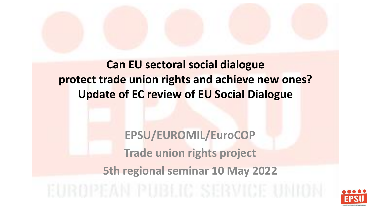### **Can EU sectoral social dialogue protect trade union rights and achieve new ones? Update of EC review of EU Social Dialogue**

**EPSU/EUROMIL/EuroCOP Trade union rights project 5th regional seminar 10 May 2022**

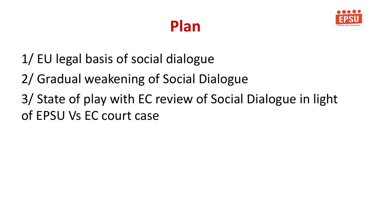



- 1/ EU legal basis of social dialogue
- 2/ Gradual weakening of Social Dialogue
- 3/ State of play with EC review of Social Dialogue in light of EPSU Vs EC court case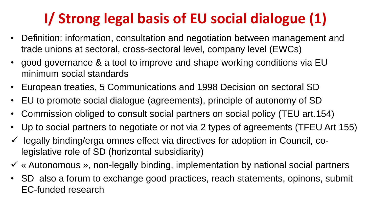## **I/ Strong legal basis of EU social dialogue (1)**

- Definition: information, consultation and negotiation between management and trade unions at sectoral, cross-sectoral level, company level (EWCs)
- good governance & a tool to improve and shape working conditions via EU minimum social standards
- European treaties, 5 Communications and 1998 Decision on sectoral SD
- EU to promote social dialogue (agreements), principle of autonomy of SD
- Commission obliged to consult social partners on social policy (TEU art.154)
- Up to social partners to negotiate or not via 2 types of agreements (TFEU Art 155)
- $\checkmark$  legally binding/erga omnes effect via directives for adoption in Council, colegislative role of SD (horizontal subsidiarity)
- ✓ « Autonomous », non-legally binding, implementation by national social partners
- SD also a forum to exchange good practices, reach statements, opinons, submit EC-funded research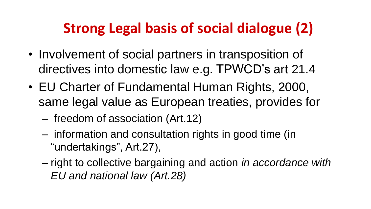### **Strong Legal basis of social dialogue (2)**

- Involvement of social partners in transposition of directives into domestic law e.g. TPWCD's art 21.4
- EU Charter of Fundamental Human Rights, 2000, same legal value as European treaties, provides for
	- freedom of association (Art.12)
	- information and consultation rights in good time (in "undertakings", Art.27),
	- right to collective bargaining and action *in accordance with EU and national law (Art.28)*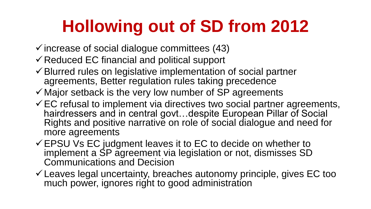# **Hollowing out of SD from 2012**

- $\checkmark$  increase of social dialogue committees (43)
- ✓Reduced EC financial and political support
- ✓Blurred rules on legislative implementation of social partner agreements, Better regulation rules taking precedence
- $\checkmark$  Major setback is the very low number of SP agreements
- $\checkmark$  EC refusal to implement via directives two social partner agreements, hairdressers and in central govt…despite European Pillar of Social Rights and positive narrative on role of social dialogue and need for more agreements
- $\checkmark$  EPSU Vs EC judgment leaves it to EC to decide on whether to implement a SP agreement via legislation or not, dismisses SD Communications and Decision
- $\checkmark$  Leaves legal uncertainty, breaches autonomy principle, gives EC too much power, ignores right to good administration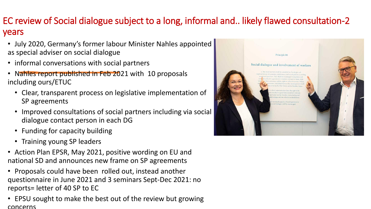#### EC review of Social dialogue subject to a long, informal and.. likely flawed consultation-2 years

- July 2020, Germany's former labour Minister Nahles appointed as special adviser on social dialogue
- informal conversations with social partners
- Nahles report published in Feb 2021 with 10 proposals including ours/ETUC
	- Clear, transparent process on legislative implementation of SP agreements
	- Improved consultations of social partners including via social dialogue contact person in each DG
	- Funding for capacity building
	- Training young SP leaders
- Action Plan EPSR, May 2021, positive wording on EU and national SD and announces new frame on SP agreements
- Proposals could have been rolled out, instead another questionnaire in June 2021 and 3 seminars Sept-Dec 2021: no reports= letter of 40 SP to EC
- EPSU sought to make the best out of the review but growing concerns

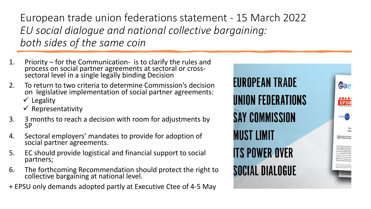European trade union federations statement - 15 March 2022 *EU social dialogue and national collective bargaining: both sides of the same coin*

- 1. Priority for the Communication- is to clarify the rules and process on social partner agreements at sectoral or crosssectoral level in a single legally binding Decision
- 2. To return to two criteria to determine Commission's decision on legislative implementation of social partner agreements:  $\checkmark$  Legality
	- $\checkmark$  Representativity
- 3. 3 months to reach a decision with room for adjustments by SP
- 4. Sectoral employers' mandates to provide for adoption of social partner agreements.
- 5. EC should provide logistical and financial support to social partners;
- 6. The forthcoming Recommendation should protect the right to collective bargaining at national level.
- + EPSU only demands adopted partly at Executive Ctee of 4-5 May

EUROPEAN TRADE UNION FEDERATIONS SAY COMMISSION MUST LIMIT **ITS POWER OVER** SOCIAL DIALOGUE

eae

 $00000$ **EPSU** 

**EUROCOP** 

A framework with class right to collective bar

cknowledging that the fi-

social partner agreements and what is assessed as copied and represe alves in her report and fo **APODEMAN Trade Chris. Av** .<br>Y TUC Executive Committee<br>of the final CIEU judgment is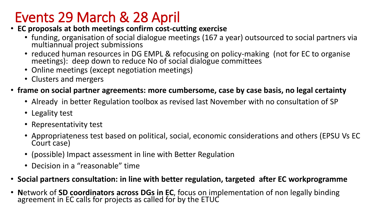### Events 29 March & 28 April

- **EC proposals at both meetings confirm cost-cutting exercise**
	- funding, organisation of social dialogue meetings (167 a year) outsourced to social partners via multiannual project submissions
	- reduced human resources in DG EMPL & refocusing on policy-making (not for EC to organise meetings): deep down to reduce No of social dialogue committees
	- Online meetings (except negotiation meetings)
	- Clusters and mergers
- **frame on social partner agreements: more cumbersome, case by case basis, no legal certainty** 
	- Already in better Regulation toolbox as revised last November with no consultation of SP
	- Legality test
	- Representativity test
	- Appropriateness test based on political, social, economic considerations and others (EPSU Vs EC Court case)
	- (possible) Impact assessment in line with Better Regulation
	- Decision in a "reasonable" time
- **Social partners consultation: in line with better regulation, targeted after EC workprogramme**
- **N**etwork of **SD coordinators across DGs in EC**, focus on implementation of non legally binding agreement in EC calls for projects as called for by the ETUC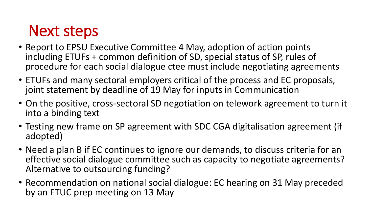## Next steps

- Report to EPSU Executive Committee 4 May, adoption of action points including ETUFs + common definition of SD, special status of SP, rules of procedure for each social dialogue ctee must include negotiating agreements
- ETUFs and many sectoral employers critical of the process and EC proposals, joint statement by deadline of 19 May for inputs in Communication
- On the positive, cross-sectoral SD negotiation on telework agreement to turn it into a binding text
- Testing new frame on SP agreement with SDC CGA digitalisation agreement (if adopted)
- Need a plan B if EC continues to ignore our demands, to discuss criteria for an effective social dialogue committee such as capacity to negotiate agreements? Alternative to outsourcing funding?
- Recommendation on national social dialogue: EC hearing on 31 May preceded by an ETUC prep meeting on 13 May